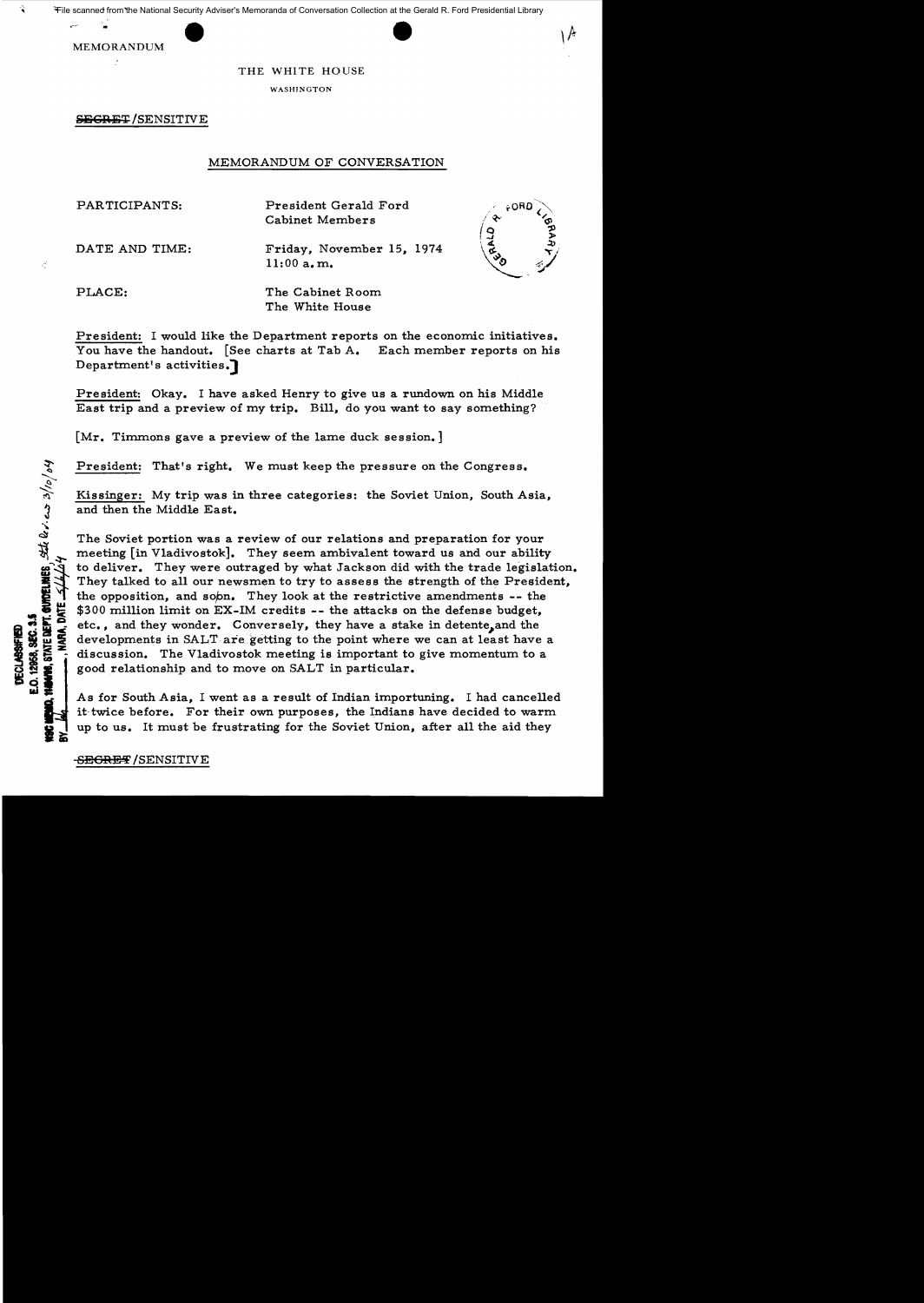

### THE WHITE HOUSE

WASHINGTON

SEGRET/SENSITIVE

## MEMORANDUM OF CONVERSATION

PARTICIPANTS: President Gerald Ford Cabinet Members

DATE AND TIME: Friday, November 15, 1974 11:00 a.m.



 $\boldsymbol{z}^{\mathcal{L}}_i$ 

STATE DEFT. QUIDELINES,  $\frac{1}{2}$  and  $\frac{1}{2}$  and  $\frac{1}{2}$  /0/0/04

12958, SEC. 3.5 **JECLABSHIES** 

ARA, DATE SIA

PLACE: The Cabinet Room The White House

President: I would like the Department reports on the economic initiatives. You have the handout. [See charts at Tab A. Each member reports on his Department's activities.

President: Okay. I have asked Henry to give us a rundown on his Middle East trip and a preview of my trip. Bill, do you want to say something?

[Mr. Timmons gave a preview of the lame duck session.]

President: That's right. We must keep the pressure on the Congress.

Kissinger: My trip was in three categories: the Soviet Union, South Asia, and then the Middle East.

The Soviet portion was a review of our relations and preparation for your meeting [in Vladivostok]. They seem ambivalent toward us and our ability to deliver. They were outraged by what Jackson did with the trade legislation. They talked to all our newsmen to try to assess the strength of the President, the opposition, and sobn. They look at the restrictive amendments -- the \$300 million limit on EX-IM credits -- the attacks on the defense budget, etc., and they wonder. Conversely, they have a stake in detente, and the developments in SALT. are getting to the point where we can at least have a discussion. The Vladivostok meeting is important to give momentum to a good relationship and to move on SALT in particular.

As for South Asia, I went as a result of Indian importuning. I had cancelled it-twice before. For their own purposes, the Indians have decided to warm up to us. It must be frustrating for the Soviet Union, after all the aid they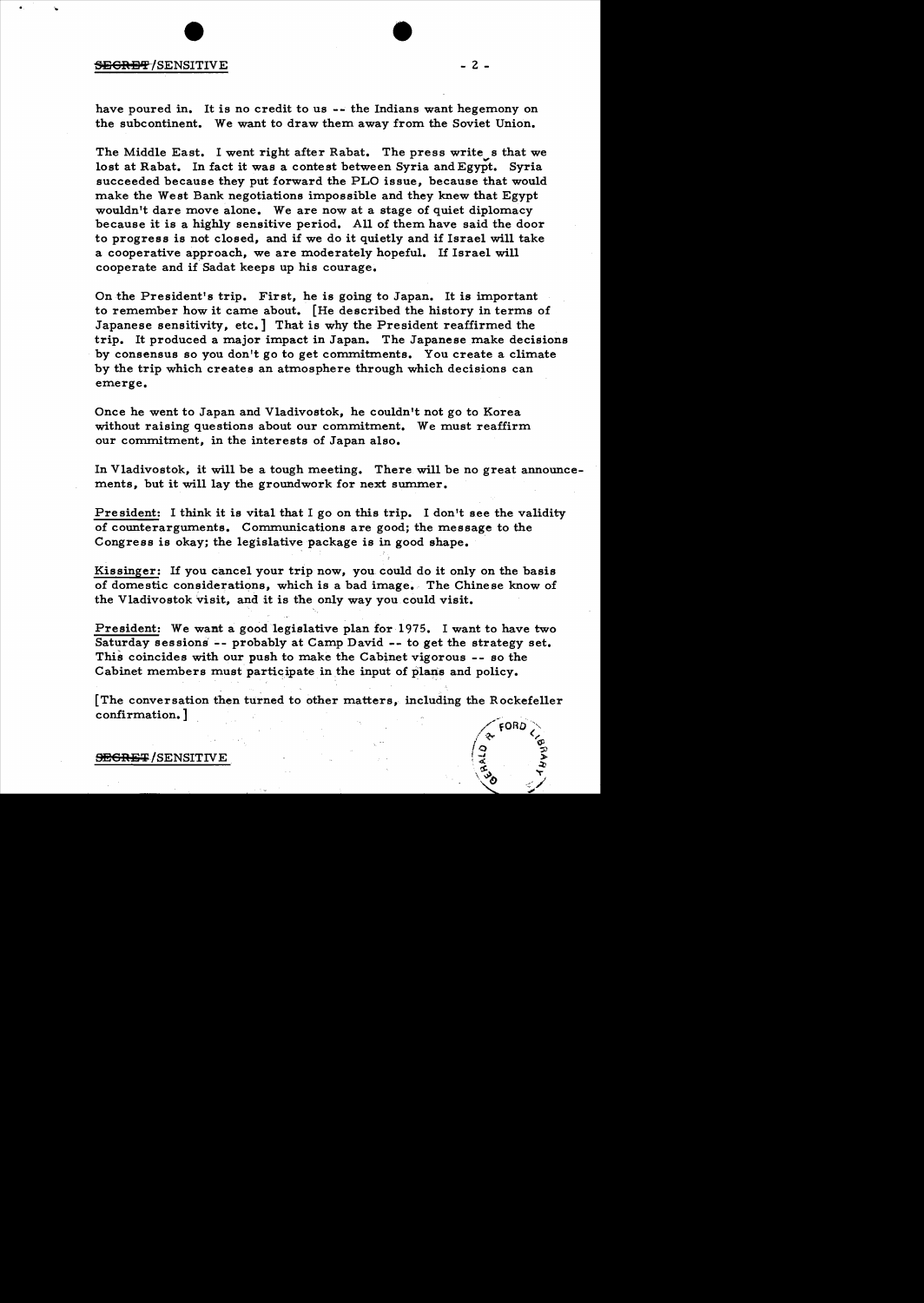### $\overline{\text{SEGRBF}}$ /SENSITIVE - 2 -

have poured in. It is no credit to us -- the Indians want hegemony on the subcontinent. We want to draw them away from the Soviet Union.

The Middle East. I went right after Rabat. The press write s that we lost at Rabat. In fact it was a contest between Syria and Egypt. Syria succeeded because they put forward the PLO issue, because that would make the West Bank negotiations impossible and they knew that Egypt wouldn't dare move alone. We are now at a stage of quiet diplomacy because it is a highly sensitive period. All of them have said the door to progress is not closed, and if we do it quietly and if Israel will take a cooperative approach, we are moderately hopeful. If Israel will cooperate and if Sadat keeps up his courage.

On the President's trip. First, he is going to Japan. It is important to remember how it came about. [He described the history in terms of Japanese sensitivity, etc.] That is why the President reaffirmed the trip. It produced a major impact in Japan. The Japanese make decisions by consensus so you don't go to get commitments. You create a climate by the trip which creates an atmosphere through which decisions can emerge.

Once he went to Japan and Vladivostok, he couldn't not go to Korea without raising questions about our commitment. We must reaffirm our commitment, in the interests of Japan also.

In Vladivostok, it will be a tough meeting. There will be no great announcements, but it will lay the groundwork for next summer.

President: I think it is vital that I go on this trip. I don't see the validity of counterarguments. Communications are good; the message to the Congress is okay; the legislative package is in good shape. .

Kissinger: If you cancel your trip now, you. could do it only on the basis of domestic considerations, which is a bad image. The Chinese know of the Vladivostok visit, and it is the only way you could visit.

President: We want a good legislative plan for 1975. I want to have two Saturday sessions -- probably at Camp David -- to get the strategy set. This coincides with our push to make the Cabinet vigorous -- so the Cabinet members must participate in the input of plans and policy.

[The conversation then turned to other matters, including the Rockefeller confirmation. ]



**SECRET/SENSITIVE**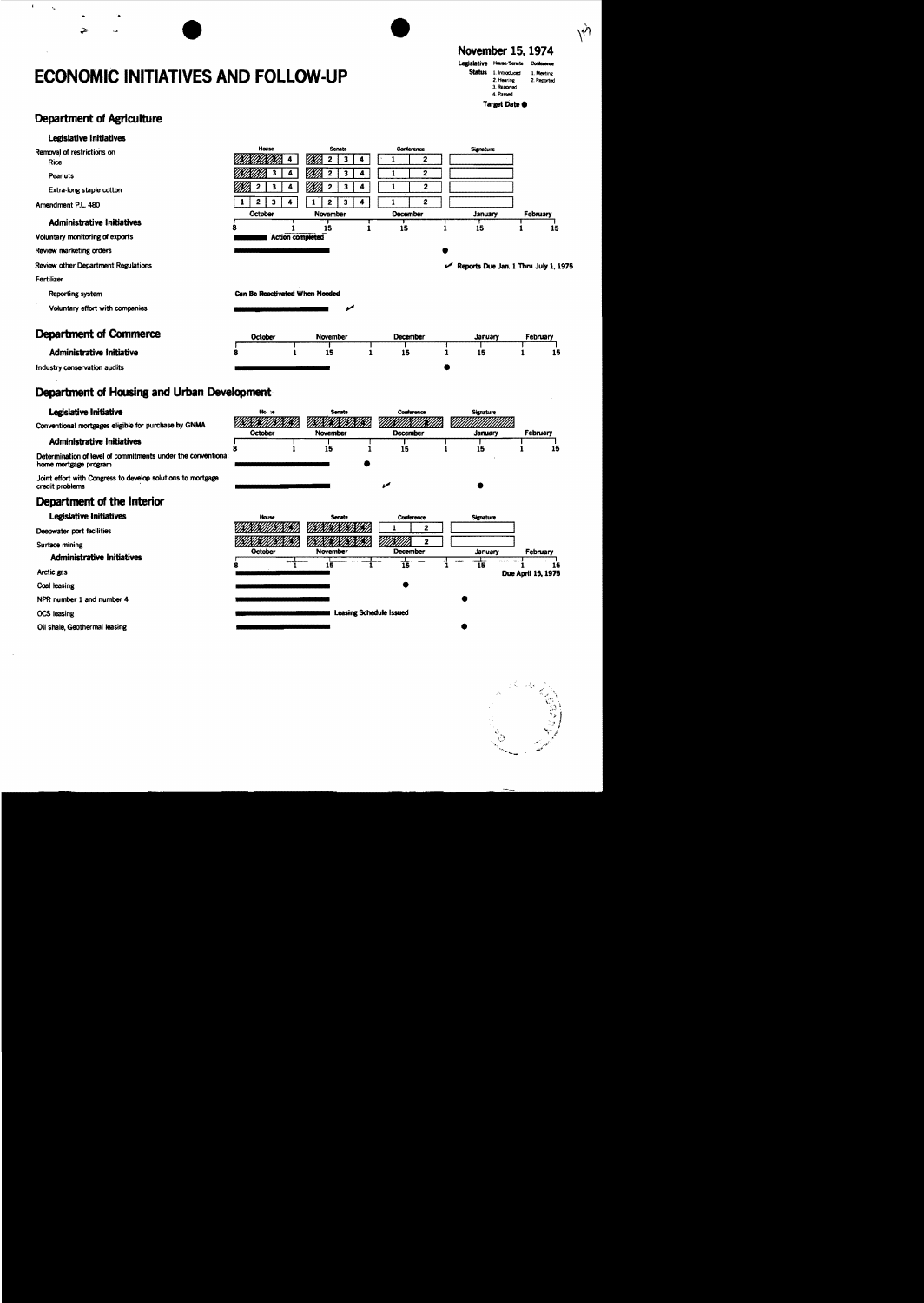# **ECONOMIC INITIATIVES AND FOLLOW-UP**

## November 15, 1974

 $\hat{y}$ 



**Department of Agriculture** 

 $\ddot{\bullet}$ 

 $\Rightarrow$ 

 $\mathbf{r}$  $\mathbf{q}$ 

| Legislative Initiatives                                                               |                                |                             |                                                   |                                           |                    |
|---------------------------------------------------------------------------------------|--------------------------------|-----------------------------|---------------------------------------------------|-------------------------------------------|--------------------|
| Removal of restrictions on                                                            | House<br>4                     | Senate<br>$\mathbf{z}$<br>3 | Conference<br>$\mathbf{1}$<br>$\overline{2}$<br>4 | <b>Signature</b>                          |                    |
| Rice                                                                                  |                                |                             | $\overline{2}$                                    |                                           |                    |
| Peanuts                                                                               | з<br>4                         | 2<br>3<br>m                 | 4<br>1<br>2<br>4<br>1                             |                                           |                    |
| Extra-long staple cotton                                                              | 3<br>2<br>4                    | $\mathbf 2$<br>3            |                                                   |                                           |                    |
| Amendment P.L. 480                                                                    | 2<br>3<br>4                    | 3<br>$\overline{2}$<br>1    | 4<br>$\overline{2}$<br>1<br>December              |                                           |                    |
| <b>Administrative Initiatives</b>                                                     | October<br>8<br>1              | November<br>15              | 15<br>1                                           | January<br>1<br>15                        | February<br>15     |
| Voluntary monitoring of exports                                                       |                                | <b>Action completed</b>     |                                                   |                                           |                    |
| Review marketing orders                                                               |                                |                             |                                                   |                                           |                    |
| Review other Department Regulations                                                   |                                |                             |                                                   | Reports Due Jan. 1 Thru July 1, 1975<br>≁ |                    |
| <b>Fertilizer</b>                                                                     |                                |                             |                                                   |                                           |                    |
| Reporting system                                                                      | Can Be Reactivated When Needed |                             |                                                   |                                           |                    |
| Voluntary effort with companies                                                       |                                |                             |                                                   |                                           |                    |
|                                                                                       |                                |                             |                                                   |                                           |                    |
| <b>Department of Commerce</b>                                                         | October                        | November                    | December                                          | January                                   | February           |
| <b>Administrative Initiative</b>                                                      |                                | 15<br>1                     | 15<br>1                                           | 15<br>1                                   | 15                 |
| Industry conservation audits                                                          |                                |                             |                                                   |                                           |                    |
| Legislative Initiative                                                                | Ho se<br>MMM.                  | Senate                      | Conference                                        | Signature                                 |                    |
| Conventional mortgages eligible for purchase by GNMA                                  | October                        | November                    | December                                          | January                                   | February           |
| <b>Administrative Initiatives</b>                                                     | 8<br>1                         | 15                          | 15<br>1                                           | 15<br>1                                   | 15                 |
| Determination of level of commitments under the conventional<br>home mortgage program |                                |                             |                                                   |                                           |                    |
| Joint effort with Congress to develop solutions to mortgage<br>credit problems        |                                |                             | ممته                                              |                                           |                    |
| Department of the Interior                                                            |                                |                             |                                                   |                                           |                    |
| Legislative Initiatives                                                               | House                          | Senate                      | Conference                                        | Signature                                 |                    |
| Deepwater port facilities                                                             |                                |                             | 1<br>2                                            |                                           |                    |
| Surface mining                                                                        |                                | ØŃ                          | $\mathbf{2}$                                      |                                           |                    |
| <b>Administrative Initiatives</b>                                                     | October                        | November                    | December                                          | January                                   | February           |
| Arctic gas                                                                            |                                | $1\overline{5}$             | 15                                                | 15                                        | 15                 |
|                                                                                       |                                |                             |                                                   |                                           |                    |
|                                                                                       |                                |                             |                                                   |                                           |                    |
|                                                                                       |                                |                             |                                                   |                                           |                    |
| Coal leasing<br>NPR number 1 and number 4<br>OCS leasing                              |                                |                             | Leasing Schedule Issued                           |                                           | Due April 15, 1975 |

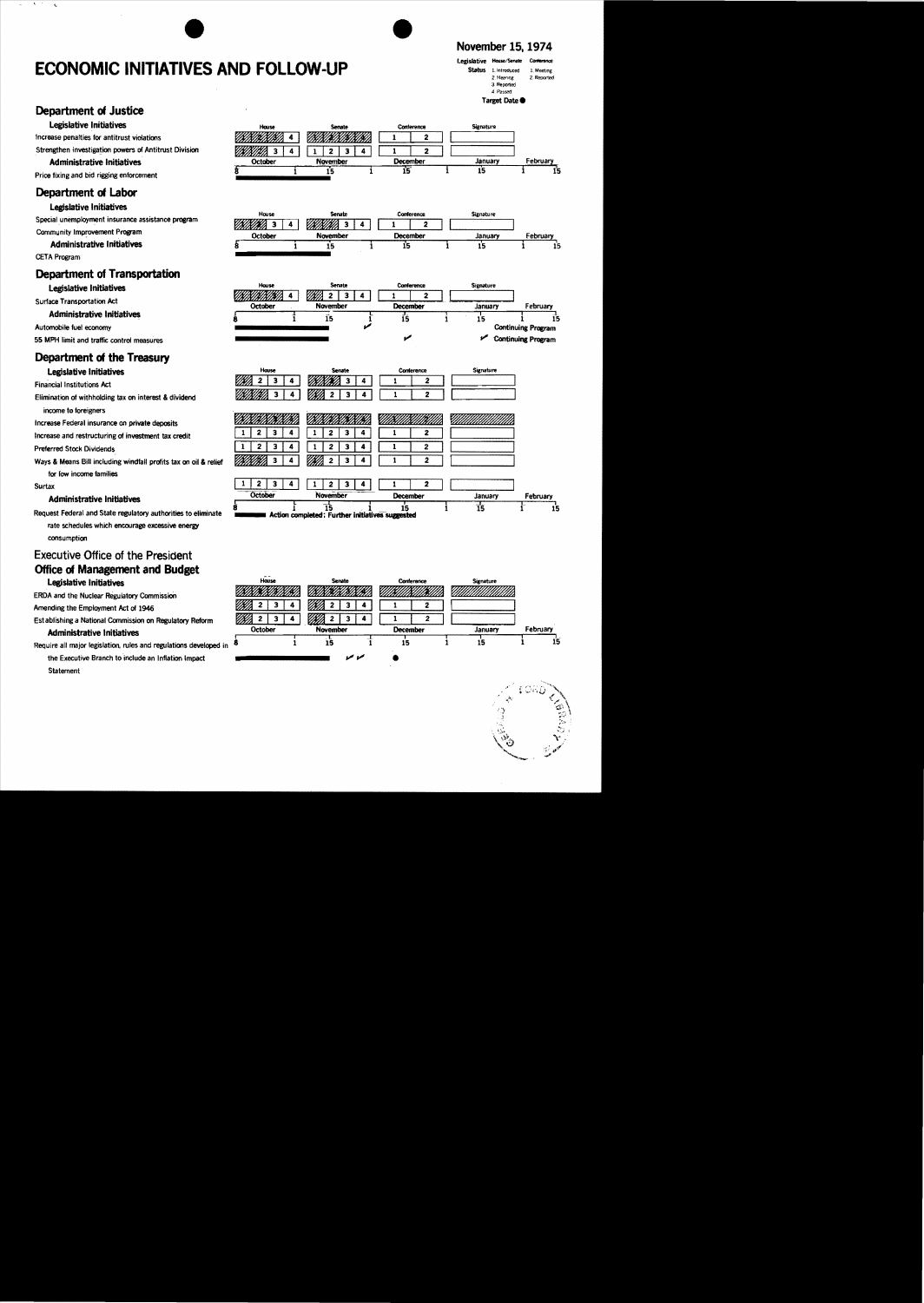## **ECONOMIC INITIATIVES AND FOLLOW-UP**

### November 15, 1974

#### Legislative House/Senate Status 1 introduced 1 Meeting 2. Hearing 2. Reported 3. Reported 4 Passed Target Date

**Department of Justice** 

#### Legislative Initiatives

Increase penalties for antitrust violations

Strengthen investigation powers of Antitrust Division

#### **Administrative Initiatives**

Price fixing and bid rigging enforcement

### Department of Labor

#### Legislative Initiatives

Special unemployment insurance assistance program Community Improvement Program

**Administrative Initiatives** 

**CETA Program** 

### **Department of Transportation**

#### Legislative Initiatives

**Surface Transportation Act** 

**Administrative Initiatives** 

Automobile fuel economy

55 MPH limit and traffic control measures

## Department of the Treasury

Legislative Initiatives

**Financial Institutions Act** 

- Elimination of withholding tax on interest & dividend
- income to foreigners Increase Federal insurance on private deposits
- Increase and restructuring of investment tax credit

**Preferred Stock Dividends** 

Ways & Means Bill including windfall profits tax on oil & relief for fow income families

Surtax

#### **Administrative Initiatives**

Request Federal and State regulatory authorities to eliminate rate schedules which encourage excessive energy consumption

### **Executive Office of the President Office of Management and Budget** Legislative Initiatives

ERDA and the Nuclear Regulatory Commission

Amending the Employment Act of 1946

Est ablishing a National Commission on Regulatory Reform

#### Administrative Initiatives

Require all major legislation, rules and regulations developed in the Executive Branch to include an Inflation Impact Statement



| House          |  | Senate        |  | Conference      |  | <b>Signature</b> |          |    |
|----------------|--|---------------|--|-----------------|--|------------------|----------|----|
| KWM).          |  | ۰,<br>IBIHI). |  |                 |  |                  |          |    |
| <b>October</b> |  | November      |  | <b>December</b> |  | January          | February |    |
|                |  | 15            |  | 15              |  | 15               |          | 15 |
|                |  |               |  |                 |  |                  |          |    |

| House          |  | <b>Senate</b> |  | Conference |                 |  | <b>Signature</b>          |                    |  |
|----------------|--|---------------|--|------------|-----------------|--|---------------------------|--------------------|--|
|                |  | 2             |  |            |                 |  |                           |                    |  |
| <b>October</b> |  | November      |  |            | <b>December</b> |  | January                   | February           |  |
| 8              |  | ıэ            |  | 15         |                 |  | 15                        | 15                 |  |
|                |  |               |  |            |                 |  | <b>Continuing Program</b> |                    |  |
|                |  |               |  |            |                 |  |                           | Continuing Program |  |

| House          | Senate                                                | Conference   | Signature       |          |
|----------------|-------------------------------------------------------|--------------|-----------------|----------|
|                |                                                       | 2            |                 |          |
| 2              | 2<br>4<br>3                                           | 2            |                 |          |
|                |                                                       |              |                 |          |
|                | 3<br>4                                                | 2            |                 |          |
| 2<br>3         | 3                                                     | 2            |                 |          |
|                | 3<br>2                                                | $\mathbf{2}$ |                 |          |
| 3              | 3                                                     | 2            |                 |          |
| <b>October</b> | November                                              | December     | January         | February |
| 8              | 15<br>Action completed: Further initiatives suggested | 15           | $\overline{15}$ | 15       |



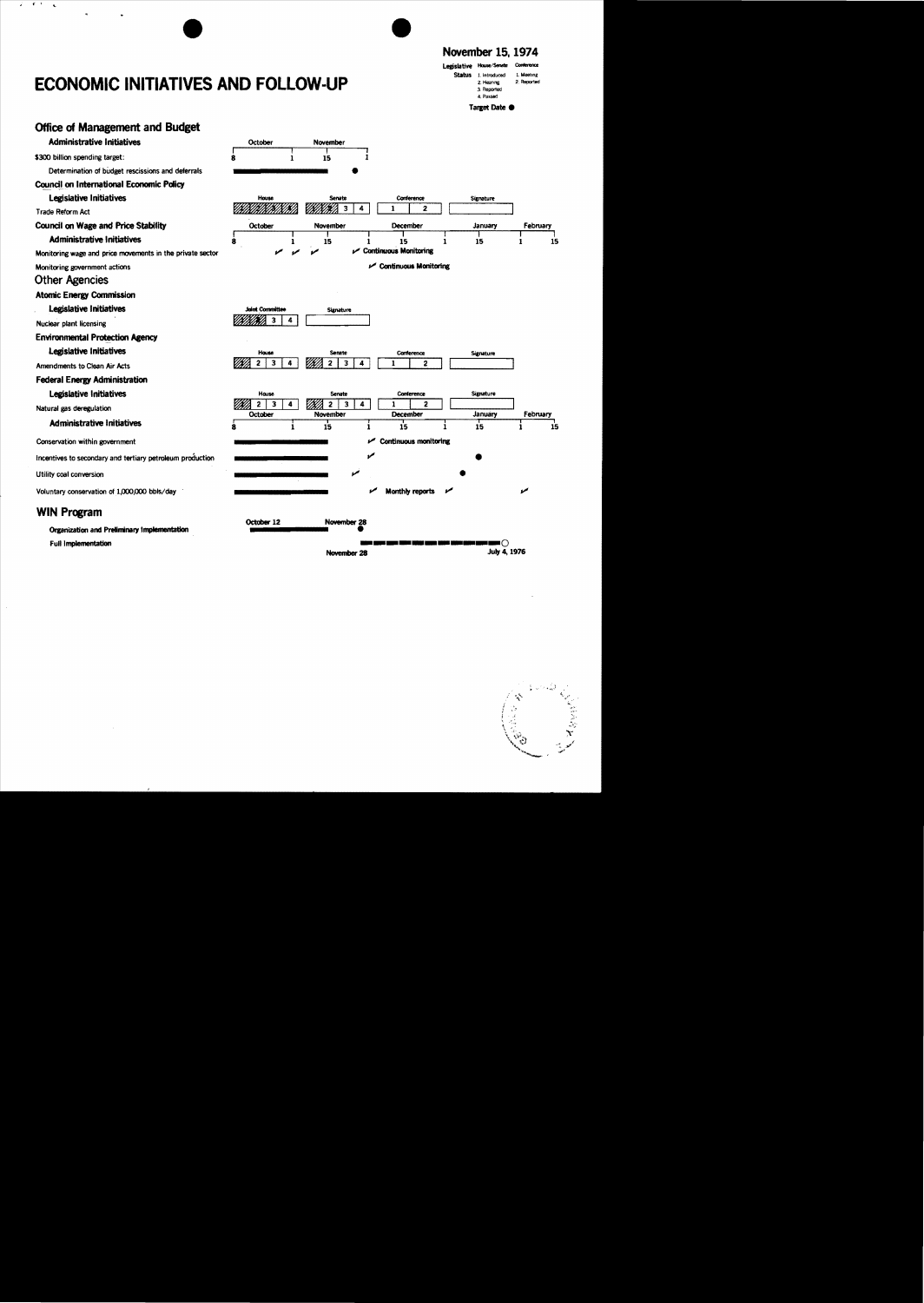## **ECONOMIC INITIATIVES AND FOLLOW-UP**

 $\rightarrow$  $\ddot{\phantom{a}}$ 

## November 15, 1974

Legislative House/Senate **Status** 1. Introduced 1. Meeting 2 Recorded 2. Hearing 3. Reported 4 Passed Target Date  $\bullet$ 

**Office of Management and Budget Administrative Initiatives** October November r<br>R \$300 billion spending target:  $\overline{15}$ j  $\mathbf{1}$ Determination of budget rescissions and deferrals **Council on International Economic Policy Legislative Initiatives** House Signature Senate Conference <u>TIKIKIINIKIKIKIN</u> VININI) 3  $\overline{4}$ ī  $\overline{2}$ Trade Reform Act **Council on Wage and Price Stability** October November December January February **Administrative Initiatives**  $\overline{15}$  $\dot{\mathbf{8}}$  $\overline{15}$  $\dot{15}$ ÷  $15$ j i  $\mathbf{1}$ Continuous Monitoring Monitoring wage and price movements in the private sector Continuous Monitoring Monitoring government actions **Other Agencies Atomic Energy Commission** Legislative Initiatives **Solot Committee** Signature *UKIKAKO 3*  $\overline{4}$ Nuclear plant licensing **Environmental Protection Agency** Legislative Initiatives Conference Signature VIN II  $\overline{2}$  $\overline{\mathbf{3}}$  $\overline{4}$  $\overline{\cdot}$  $\overline{\mathbf{3}}$  $\overline{4}$  $\overline{\mathbf{1}}$ 9 Amendments to Clean Air Acts **Federal Energy Administration** Legislative Initiatives House Signature Senate Conterence WM.  $\overline{2}$   $\overline{3}$  $\overline{4}$  $\mathbb{Z}/2$  3  $\sqrt{4}$ 1  $\overline{ }$ Natural gas deregulation October January February December November **Administrative Initiatives** i  $\overline{15}$ i  $\dot{15}$  $\dot{15}$ 15 Continuous monitoring Conservation within government ممع Incentives to secondary and tertiary petroleum production Utility coal conversion مما Voluntary conservation of 1,000,000 bbls/day مما Monthly reports **WIN Program** October 12 November 28 **Organization and Preliminary Implementation Full Implementation** ⊦റ July 4, 1976 November 28

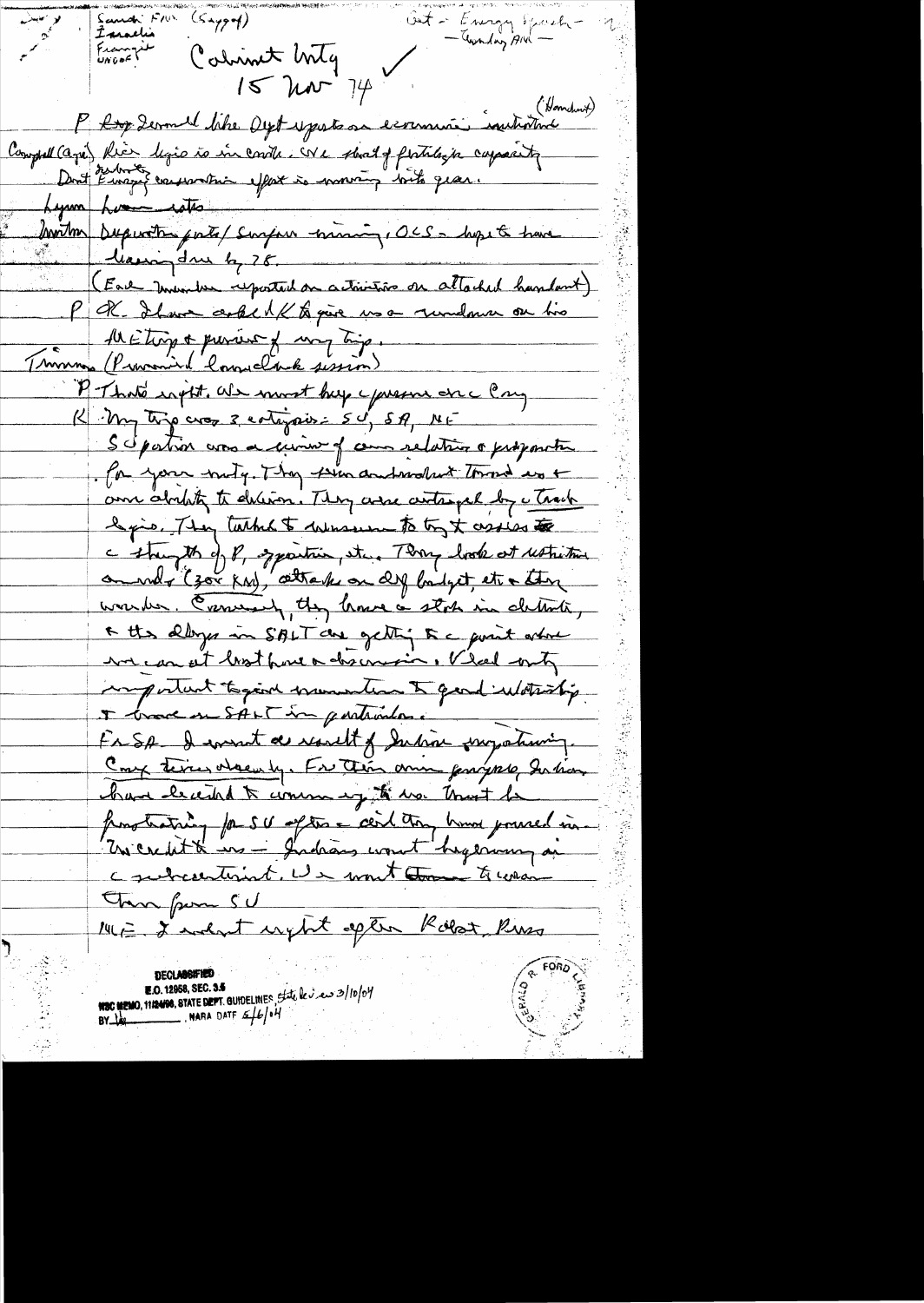Sand Fill  $\left(\varsigma_{\star \gamma \gamma \gamma}\right)$ Out - Energy Spach-Imaelia - Twinding Ard -Francy it Colinist Wilg  $15$  har  $74$ P <del>Roy</del> Zermel like Dyst y parts sa exercice instantment Compret (agri) Rica ligio to in contr. We shall fertilize capacity Dont Emerge conservation effort à moving bits gran. Lynn Luci into me mining, OCS- hype & have leavingdue by 28. (Each Inventor reported on activities on attached handout) PR. It was acked to give us a rundown on two All Etiop & previous of may trip. Troman (Provenir landclack sission) P. That's right. We most hup yours one Cry K My typ cross 3 continues: 50, 5A, ME Scipation was a curio of commandation a proponetic for your mity. They seen and mother's town des + am abitat to deliver. They are writinged by a track legio, They tatto to wherever to try t assiss to a strugth of 8, sparting etc. Then look at ustritive om who (zor ka), attack on deg bilget, etc + there worker. Comerant, they have a stock in cleants, A the albys in SALT de getting to a guest ordere we can at look from a discovering, V lead onty ingertant togent municipal to gend withinting I brook on SALT in particulare Fr SA - I want de result of Indian surpotioning. Comp terms order by. For their ann partyrel Intian bare leccided to commany to war trust he fronç training for SU after a cert tron hours poured in contractions. Un mont comme to consider Transfrom SU ME I not upt opter Robot Riss **DECLASSIFIED** 

**NEC MEMO, 1112488, STATE DEPT. GUIDELINES**, State leves 3/10/04 BY  $\frac{1}{4}$  . NARA DATE  $\frac{1}{2}$  /  $\frac{1}{4}$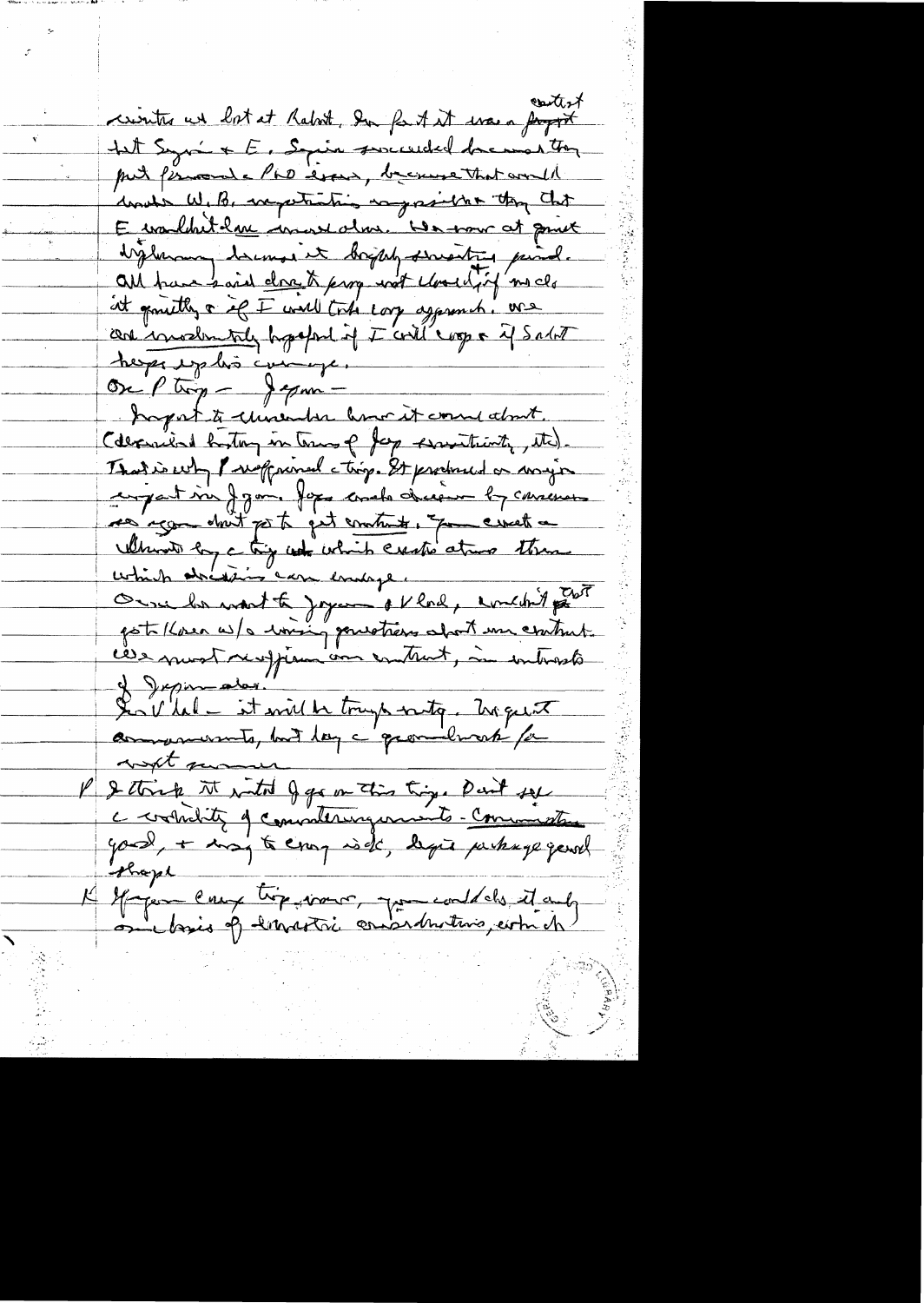anti $\lambda$ crister un lot at Rabot, Du fast it was a papport Let Syria + E, Squin serceeded because they put fiscoule PLD event, because that would und's W. B. expertanting as project they that E wouldn't have invested us. He was at gomet bigherouse doesnot it boysely suresting paind. all trave said close to para not closed if no clo at growth a if I will total corp agament. We can invodentaly hypotone of I could coop a if Salat herps exploi compe. One Ptrop - Jepmihapat to chinender how it come about (depended bytog in town of Jap Assistant, the). That is why I welf mined ctrip. It produced or mayor compartisse J Jan. Jepe comete decision by consense res'age don't get to get contrat, que creek a Which by a try which exite atmo them Oure la mont te joyeu et lad, emedit part poto (lose a) a loving pourtiers about une contrat ces most respira une entrat, in introste of Japan alor. SenVlal - it will be tranger with logeret with me P & think it with J go on this trig. Part sel your, + may to exay is de, legie perhage gentl observe K Gregor enux très vous pour could des it and